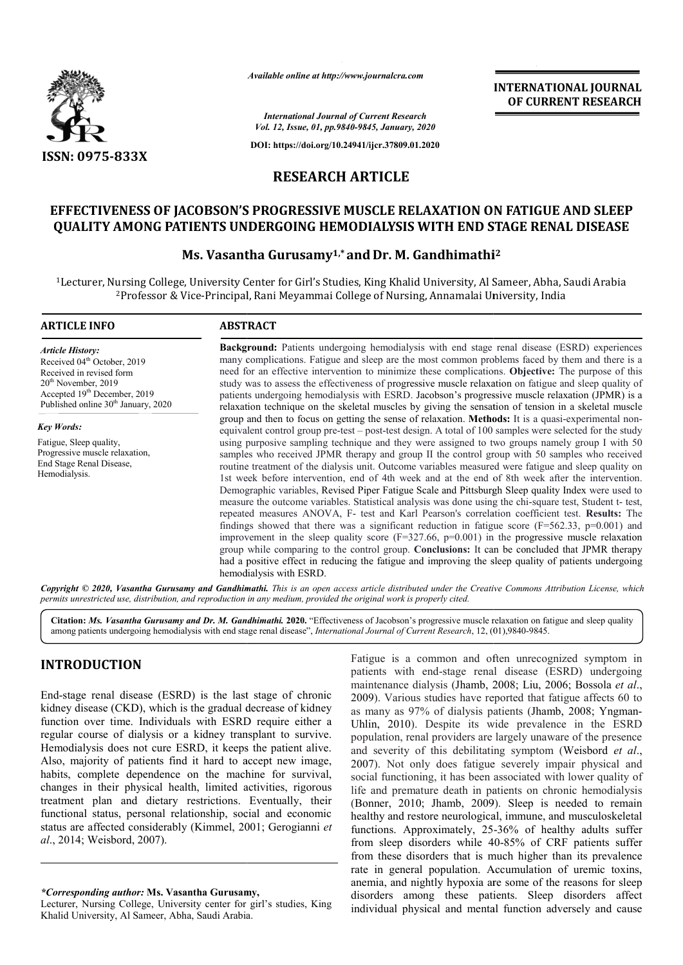

*Available online at http://www.journalcra.com*

**INTERNATIONAL JOURNAL OF CURRENT RESEARCH**

*International Journal of Current Research Vol. 12, Issue, 01, pp.9840-9845, January, 2020*

**DOI: https://doi.org/10.24941/ijcr.37809.01.2020**

# **RESEARCH ARTICLE**

# **EFFECTIVENESS OF JACOBSON'S PROGRESSIVE MUSCLE RELAXATION ON FATIGUE AND SLEEP QUALITY AMONG PATIENTS UNDERGOING HEMODIALYSIS WITH END STAGE RENAL DISEASE**

# **Ms. Vasantha Gurusamy1,\* and Dr. M. Gandhimathi Gandhimathi2**

 $^{\rm 1}$ Lecturer, Nursing College, University Center for Girl's Studies, King Khalid University, Al Sameer, Abha, Saudi Arabia <sup>2</sup>Professor & Vice-Principal, Rani Meyammai College of Nursing, Annamalai University, India

#### **ARTICLE INFO ABSTRACT**

*Article History:* Received 04<sup>th</sup> October, 2019 Received in revised form 20<sup>th</sup> November, 2019 Accepted 19<sup>th</sup> December, 2019 Published online 30<sup>th</sup> January, 2020

*Key Words:* Fatigue, Sleep quality, Progressive muscle relaxation, End Stage Renal Disease, Hemodialysis.

Background: Patients undergoing hemodialysis with end stage renal disease (ESRD) experiences many complications. Fatigue and sleep are the most common problems faced by them and there is a need for an effective intervention to minimize these complications. **Objective:** The purpose of this study was to assess the effectiveness of progressive muscle relaxation on fatigue and sleep quality of patients undergoing hemodialysis with ESRD. Jacobson's progressive muscle relaxation (JPMR) is a relaxation technique on the skeletal muscles by giving the sensation of tension in a skeletal muscle group and then to focus on getting the sense of relaxation. Methods: It is a quasi-experimental nonequivalent control group pre-test – post-test design. A total of 100 samples were selected for the study using purposive sampling technique and they were assigned to two groups namely group I with 50 samples who received JPMR therapy and group II the control group with 50 samples who received routine treatment of the dialysis unit. Outcome variables measured were fatigue and sleep quality on 1st week before intervention, end of 4th week and at the end of 8th week after the intervention. Demographic variables, Revised Piper Fatigue Scale and Pittsburgh Sleep quality Index were used to measure the outcome variables. Statistical analysis was done using the chi-square test, Student t- test, repeated measures ANOVA, F- test and Karl Pearson's correlation coefficient test. **Results:** The findings showed that there was a significant reduction in fatigue score  $(F=562.33, p=0.001)$  and improvement in the sleep quality score  $(F=327.66, p=0.001)$  in the progressive muscle relaxation group while comparing to the control group. Conclusions: It can be concluded that JPMR therapy had a positive effect in reducing the fatigue and improving the sleep quality of patients undergoing hemodialysis with ESRD.

Copyright © 2020, Vasantha Gurusamy and Gandhimathi. This is an open access article distributed under the Creative Commons Attribution License, which permits unrestricted use, distribution, and reproduction in any medium, provided the original work is properly cited.

Citation: Ms. Vasantha Gurusamy and Dr. M. Gandhimathi. 2020. "Effectiveness of Jacobson's progressive muscle relaxation on fatigue and sleep quality among patients undergoing hemodialysis with end stage renal disease", *International Journal of Current Research*, 12, (01),9840-9845.

# **INTRODUCTION**

End-stage renal disease (ESRD) is the last stage of chronic kidney disease (CKD), which is the gradual decrease of kidney function over time. Individuals with ESRD require either a regular course of dialysis or a kidney transplant to survive. Hemodialysis does not cure ESRD, it keeps the patient alive. Also, majority of patients find it hard to accept new image, habits, complete dependence on the machine for survival, changes in their physical health, limited activities, rigorous treatment plan and dietary restrictions. Eventually, their functional status, personal relationship, social and economic status are affected considerably (Kimmel, 2001; Gerogianni *et al*., 2014; Weisbord, 2007).

*\*Corresponding author:* **Ms. Vasantha Gurusamy Gurusamy,**

Lecturer, Nursing College, University center for girl's studies, King Khalid University, Al Sameer, Abha, Saudi Arabia Arabia.

Fatigue is a common and often unrecognized symptom in patients with end-stage renal disease (ESRD) undergoing maintenance dialysis (Jhamb, 2008; Liu, 2006; Bossola *et al*., 2009). Various studies have reported that fatigue affects 60 to as many as 97% of dialysis patients (Jhamb, 2008; Yngman-Uhlin, 2010). Despite its wide prevalence in the ESRD population, renal providers are largely unaware of the presence and severity of this debilitating symptom (Weisbord *et al*., 2007). Not only does fatigue severely impair physical and social functioning, it has been associated with lower quality of life and premature death in patients on chronic hemodialysis (Bonner, 2010; Jhamb, 2009). Sleep is needed to remain healthy and restore neurological, immune, and musculoskeletal functions. Approximately, 25 25-36% of healthy adults suffer from sleep disorders while 40 40-85% of CRF patients suffer from these disorders that is much higher than its prevalence rate in general population. Accumulation Accumulation of uremic toxins, anemia, and nightly hypoxia are some of the reasons for sleep disorders among these patients. Sleep disorders affect individual physical and mental mental function adversely and cause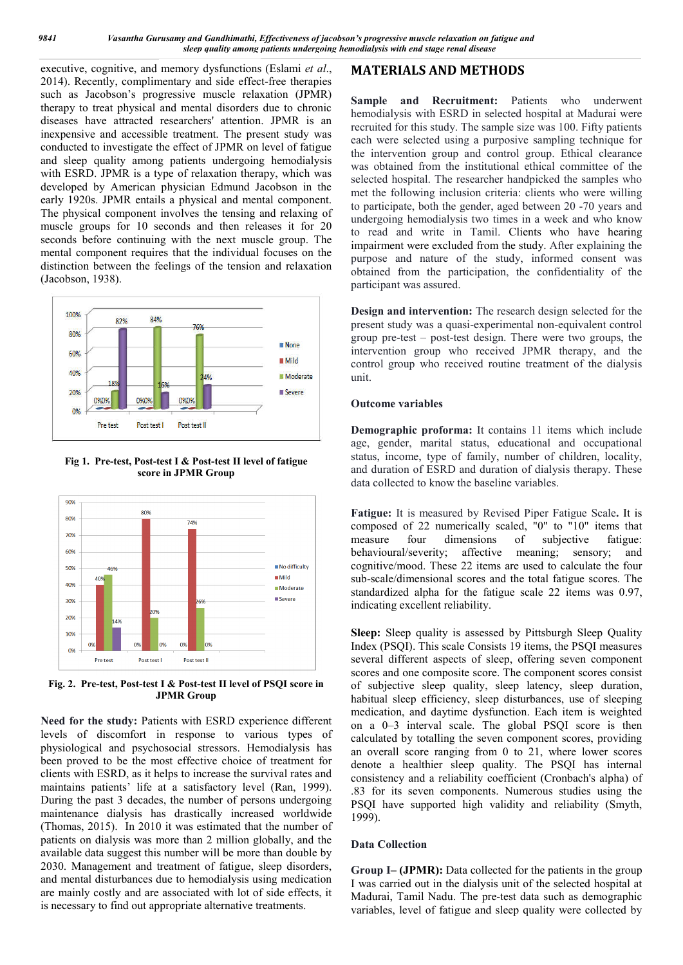executive, cognitive, and memory dysfunctions (Eslami *et al*., 2014). Recently, complimentary and side effect-free therapies such as Jacobson's progressive muscle relaxation (JPMR) therapy to treat physical and mental disorders due to chronic diseases have attracted researchers' attention. JPMR is an inexpensive and accessible treatment. The present study was conducted to investigate the effect of JPMR on level of fatigue and sleep quality among patients undergoing hemodialysis with ESRD. JPMR is a type of relaxation therapy, which was developed by American physician Edmund Jacobson in the early 1920s. JPMR entails a physical and mental component. The physical component involves the tensing and relaxing of muscle groups for 10 seconds and then releases it for 20 seconds before continuing with the next muscle group. The mental component requires that the individual focuses on the distinction between the feelings of the tension and relaxation (Jacobson, 1938).



**Fig 1. Pre-test, Post-test I & Post-test II level of fatigue score in JPMR Group**



**Fig. 2. Pre-test, Post-test I & Post-test II level of PSQI score in JPMR Group**

**Need for the study:** Patients with ESRD experience different levels of discomfort in response to various types of physiological and psychosocial stressors. Hemodialysis has been proved to be the most effective choice of treatment for clients with ESRD, as it helps to increase the survival rates and maintains patients' life at a satisfactory level (Ran, 1999). During the past 3 decades, the number of persons undergoing maintenance dialysis has drastically increased worldwide (Thomas, 2015). In 2010 it was estimated that the number of patients on dialysis was more than 2 million globally, and the available data suggest this number will be more than double by 2030. Management and treatment of fatigue, sleep disorders, and mental disturbances due to hemodialysis using medication are mainly costly and are associated with lot of side effects, it is necessary to find out appropriate alternative treatments.

## **MATERIALS AND METHODS**

**Sample and Recruitment:** Patients who underwent hemodialysis with ESRD in selected hospital at Madurai were recruited for this study. The sample size was 100. Fifty patients each were selected using a purposive sampling technique for the intervention group and control group. Ethical clearance was obtained from the institutional ethical committee of the selected hospital. The researcher handpicked the samples who met the following inclusion criteria: clients who were willing to participate, both the gender, aged between 20 -70 years and undergoing hemodialysis two times in a week and who know to read and write in Tamil. Clients who have hearing impairment were excluded from the study. After explaining the purpose and nature of the study, informed consent was obtained from the participation, the confidentiality of the participant was assured.

**Design and intervention:** The research design selected for the present study was a quasi-experimental non-equivalent control group pre-test – post-test design. There were two groups, the intervention group who received JPMR therapy, and the control group who received routine treatment of the dialysis unit.

### **Outcome variables**

**Demographic proforma:** It contains 11 items which include age, gender, marital status, educational and occupational status, income, type of family, number of children, locality, and duration of ESRD and duration of dialysis therapy. These data collected to know the baseline variables.

**Fatigue:** It is measured by Revised Piper Fatigue Scale**.** It is composed of 22 numerically scaled, "0" to "10" items that measure four dimensions of subjective fatigue: behavioural/severity; affective meaning; sensory; and cognitive/mood. These 22 items are used to calculate the four sub-scale/dimensional scores and the total fatigue scores. The standardized alpha for the fatigue scale 22 items was 0.97, indicating excellent reliability.

**Sleep:** Sleep quality is assessed by Pittsburgh Sleep Quality Index (PSQI). This scale Consists 19 items, the PSQI measures several different aspects of sleep, offering seven component scores and one composite score. The component scores consist of subjective sleep quality, sleep latency, sleep duration, habitual sleep efficiency, sleep disturbances, use of sleeping medication, and daytime dysfunction. Each item is weighted on a 0–3 interval scale. The global PSQI score is then calculated by totalling the seven component scores, providing an overall score ranging from 0 to 21, where lower scores denote a healthier sleep quality. The PSQI has internal consistency and a reliability coefficient (Cronbach's alpha) of .83 for its seven components. Numerous studies using the PSQI have supported high validity and reliability (Smyth, 1999).

#### **Data Collection**

**Group I– (JPMR):** Data collected for the patients in the group I was carried out in the dialysis unit of the selected hospital at Madurai, Tamil Nadu. The pre-test data such as demographic variables, level of fatigue and sleep quality were collected by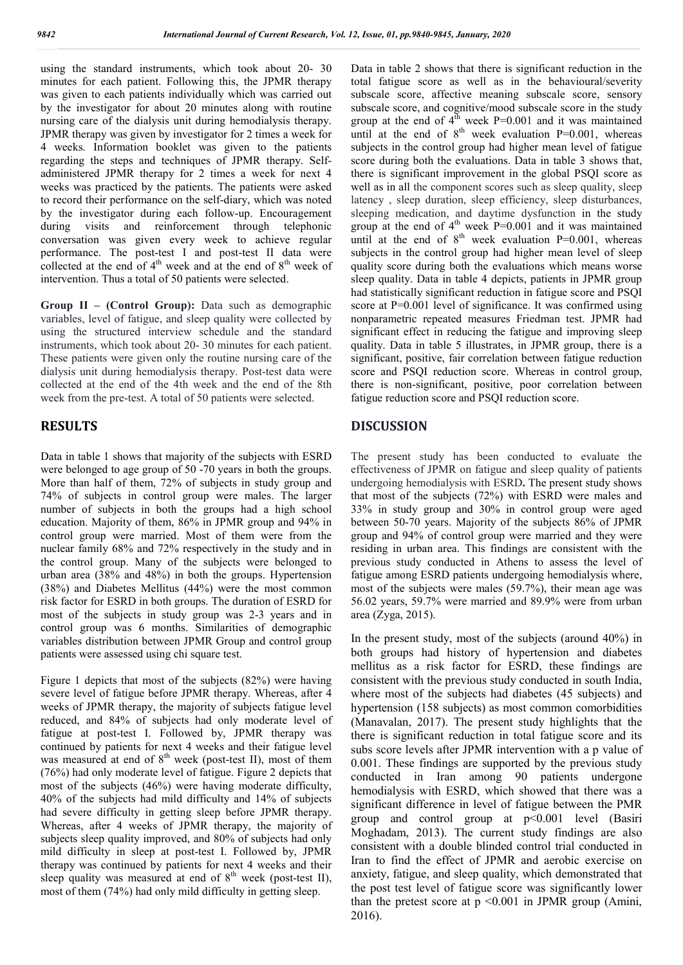using the standard instruments, which took about 20- 30 minutes for each patient. Following this, the JPMR therapy was given to each patients individually which was carried out by the investigator for about 20 minutes along with routine nursing care of the dialysis unit during hemodialysis therapy. JPMR therapy was given by investigator for 2 times a week for 4 weeks. Information booklet was given to the patients regarding the steps and techniques of JPMR therapy. Selfadministered JPMR therapy for 2 times a week for next 4 weeks was practiced by the patients. The patients were asked to record their performance on the self-diary, which was noted by the investigator during each follow-up. Encouragement during visits and reinforcement through telephonic conversation was given every week to achieve regular performance. The post-test I and post-test II data were collected at the end of  $4<sup>th</sup>$  week and at the end of  $8<sup>th</sup>$  week of intervention. Thus a total of 50 patients were selected.

**Group II – (Control Group):** Data such as demographic variables, level of fatigue, and sleep quality were collected by using the structured interview schedule and the standard instruments, which took about 20- 30 minutes for each patient. These patients were given only the routine nursing care of the dialysis unit during hemodialysis therapy. Post-test data were collected at the end of the 4th week and the end of the 8th week from the pre-test. A total of 50 patients were selected.

## **RESULTS**

Data in table 1 shows that majority of the subjects with ESRD were belonged to age group of 50 -70 years in both the groups. More than half of them, 72% of subjects in study group and 74% of subjects in control group were males. The larger number of subjects in both the groups had a high school education. Majority of them, 86% in JPMR group and 94% in control group were married. Most of them were from the nuclear family 68% and 72% respectively in the study and in the control group. Many of the subjects were belonged to urban area (38% and 48%) in both the groups. Hypertension (38%) and Diabetes Mellitus (44%) were the most common risk factor for ESRD in both groups. The duration of ESRD for most of the subjects in study group was 2-3 years and in control group was 6 months. Similarities of demographic variables distribution between JPMR Group and control group patients were assessed using chi square test.

Figure 1 depicts that most of the subjects (82%) were having severe level of fatigue before JPMR therapy. Whereas, after 4 weeks of JPMR therapy, the majority of subjects fatigue level reduced, and 84% of subjects had only moderate level of fatigue at post-test I. Followed by, JPMR therapy was continued by patients for next 4 weeks and their fatigue level was measured at end of  $8<sup>th</sup>$  week (post-test II), most of them (76%) had only moderate level of fatigue. Figure 2 depicts that most of the subjects (46%) were having moderate difficulty, 40% of the subjects had mild difficulty and 14% of subjects had severe difficulty in getting sleep before JPMR therapy. Whereas, after 4 weeks of JPMR therapy, the majority of subjects sleep quality improved, and 80% of subjects had only mild difficulty in sleep at post-test I. Followed by, JPMR therapy was continued by patients for next 4 weeks and their sleep quality was measured at end of  $8<sup>th</sup>$  week (post-test II), most of them (74%) had only mild difficulty in getting sleep.

Data in table 2 shows that there is significant reduction in the total fatigue score as well as in the behavioural/severity subscale score, affective meaning subscale score, sensory subscale score, and cognitive/mood subscale score in the study group at the end of  $4^{\text{th}}$  week P=0.001 and it was maintained until at the end of  $8<sup>th</sup>$  week evaluation P=0.001, whereas subjects in the control group had higher mean level of fatigue score during both the evaluations. Data in table 3 shows that, there is significant improvement in the global PSQI score as well as in all the component scores such as sleep quality, sleep latency , sleep duration, sleep efficiency, sleep disturbances, sleeping medication, and daytime dysfunction in the study group at the end of  $4<sup>th</sup>$  week P=0.001 and it was maintained until at the end of  $8<sup>th</sup>$  week evaluation P=0.001, whereas subjects in the control group had higher mean level of sleep quality score during both the evaluations which means worse sleep quality. Data in table 4 depicts, patients in JPMR group had statistically significant reduction in fatigue score and PSQI score at P=0.001 level of significance. It was confirmed using nonparametric repeated measures Friedman test. JPMR had significant effect in reducing the fatigue and improving sleep quality. Data in table 5 illustrates, in JPMR group, there is a significant, positive, fair correlation between fatigue reduction score and PSQI reduction score. Whereas in control group, there is non-significant, positive, poor correlation between fatigue reduction score and PSQI reduction score.

## **DISCUSSION**

The present study has been conducted to evaluate the effectiveness of JPMR on fatigue and sleep quality of patients undergoing hemodialysis with ESRD**.** The present study shows that most of the subjects (72%) with ESRD were males and 33% in study group and 30% in control group were aged between 50-70 years. Majority of the subjects 86% of JPMR group and 94% of control group were married and they were residing in urban area. This findings are consistent with the previous study conducted in Athens to assess the level of fatigue among ESRD patients undergoing hemodialysis where, most of the subjects were males (59.7%), their mean age was 56.02 years, 59.7% were married and 89.9% were from urban area (Zyga, 2015).

In the present study, most of the subjects (around 40%) in both groups had history of hypertension and diabetes mellitus as a risk factor for ESRD, these findings are consistent with the previous study conducted in south India, where most of the subjects had diabetes (45 subjects) and hypertension (158 subjects) as most common comorbidities (Manavalan, 2017). The present study highlights that the there is significant reduction in total fatigue score and its subs score levels after JPMR intervention with a p value of 0.001. These findings are supported by the previous study conducted in Iran among 90 patients undergone hemodialysis with ESRD, which showed that there was a significant difference in level of fatigue between the PMR group and control group at p<0.001 level (Basiri Moghadam, 2013). The current study findings are also consistent with a double blinded control trial conducted in Iran to find the effect of JPMR and aerobic exercise on anxiety, fatigue, and sleep quality, which demonstrated that the post test level of fatigue score was significantly lower than the pretest score at  $p \le 0.001$  in JPMR group (Amini, 2016).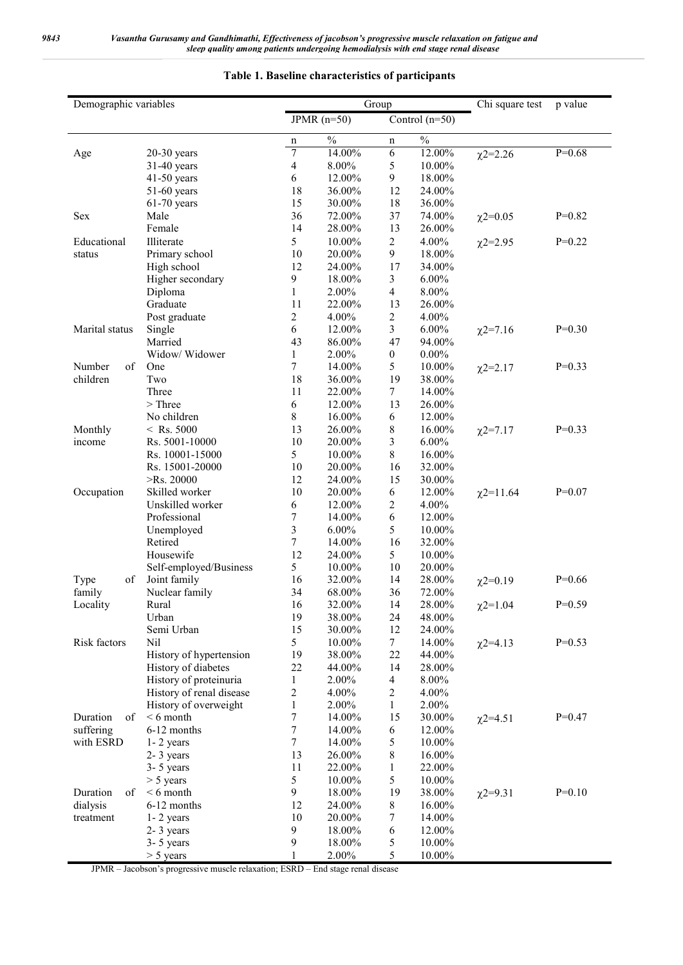| Demographic variables |                                |                  |                  | Group            | Chi square test    | p value        |          |
|-----------------------|--------------------------------|------------------|------------------|------------------|--------------------|----------------|----------|
|                       |                                | JPMR $(n=50)$    |                  | Control $(n=50)$ |                    |                |          |
|                       |                                | n                | $\frac{0}{0}$    | n                | $\frac{0}{6}$      |                |          |
| Age                   | $20-30$ years                  | 7                | 14.00%           | 6                | 12.00%             | $\chi$ 2=2.26  | $P=0.68$ |
|                       | $31-40$ years                  | 4                | 8.00%            | 5                | 10.00%             |                |          |
|                       | $41-50$ years                  | 6                | 12.00%           | 9                | 18.00%             |                |          |
|                       | 51-60 years                    | 18               | 36.00%           | 12               | 24.00%             |                |          |
|                       | $61-70$ years                  | 15               | 30.00%           | 18               | 36.00%             |                |          |
| Sex                   | Male                           | 36               | 72.00%           | 37               | 74.00%             | $\chi$ 2=0.05  | $P=0.82$ |
|                       | Female                         | 14               | 28.00%           | 13               | 26.00%             |                |          |
| Educational           | Illiterate                     | 5                | 10.00%           | $\overline{c}$   | 4.00%              | $\chi$ 2=2.95  | $P=0.22$ |
| status                | Primary school                 | 10               | 20.00%           | 9                | 18.00%             |                |          |
|                       | High school                    | 12               | 24.00%           | 17               | 34.00%             |                |          |
|                       | Higher secondary               | 9                | 18.00%           | 3                | $6.00\%$           |                |          |
|                       | Diploma                        | $\mathbf{1}$     | 2.00%            | $\overline{4}$   | 8.00%              |                |          |
|                       | Graduate                       | 11               | 22.00%           | 13               | 26.00%             |                |          |
|                       | Post graduate                  | $\mathbf{2}$     | 4.00%            | $\overline{c}$   | 4.00%              |                |          |
| Marital status        | Single                         | 6                | 12.00%           | $\mathfrak{Z}$   | $6.00\%$           | $\chi$ 2=7.16  | $P=0.30$ |
|                       | Married                        | 43               | 86.00%           | 47               | 94.00%             |                |          |
|                       | Widow/ Widower                 | $\mathbf{1}$     | 2.00%            | $\boldsymbol{0}$ | $0.00\%$           |                |          |
| Number<br>of          | One                            | 7                | 14.00%           | 5                | 10.00%             | $\chi$ 2=2.17  | $P=0.33$ |
| children              | Two                            | 18               | 36.00%           | 19               | 38.00%             |                |          |
|                       | Three                          | 11               | 22.00%           | $\tau$           | 14.00%             |                |          |
|                       | $>$ Three                      | 6                | 12.00%           | 13               | 26.00%             |                |          |
|                       | No children                    | 8                | 16.00%           | 6                | 12.00%             |                |          |
| Monthly               | $<$ Rs. 5000<br>Rs. 5001-10000 | 13<br>10         | 26.00%<br>20.00% | 8                | 16.00%<br>$6.00\%$ | $\chi$ 2=7.17  | $P=0.33$ |
| income                | Rs. 10001-15000                | 5                | 10.00%           | 3<br>$8\,$       | 16.00%             |                |          |
|                       | Rs. 15001-20000                | 10               | 20.00%           | 16               | 32.00%             |                |          |
|                       | $>$ Rs. 20000                  | 12               | 24.00%           | 15               | 30.00%             |                |          |
| Occupation            | Skilled worker                 | 10               | 20.00%           | 6                | 12.00%             | $\chi$ 2=11.64 | $P=0.07$ |
|                       | Unskilled worker               | 6                | 12.00%           | $\overline{c}$   | 4.00%              |                |          |
|                       | Professional                   | 7                | 14.00%           | 6                | 12.00%             |                |          |
|                       | Unemployed                     | 3                | $6.00\%$         | 5                | 10.00%             |                |          |
|                       | Retired                        | 7                | 14.00%           | 16               | 32.00%             |                |          |
|                       | Housewife                      | 12               | 24.00%           | 5                | 10.00%             |                |          |
|                       | Self-employed/Business         | 5                | 10.00%           | 10               | 20.00%             |                |          |
| Type<br>οf            | Joint family                   | 16               | 32.00%           | 14               | 28.00%             | $\chi$ 2=0.19  | $P=0.66$ |
| family                | Nuclear family                 | 34               | 68.00%           | 36               | 72.00%             |                |          |
| Locality              | Rural                          | 16               | 32.00%           | 14               | 28.00%             | $\chi$ 2=1.04  | $P=0.59$ |
|                       | Urban                          | 19               | 38.00%           | 24               | 48.00%             |                |          |
|                       | Semi Urban                     | 15               | 30.00%           | 12               | 24.00%             |                |          |
| Risk factors          | Nil                            | 5                | 10.00%           | 7 <sup>1</sup>   | 14.00%             | $\chi$ 2=4.13  | $P=0.53$ |
|                       | History of hypertension        | 19               | 38.00%           | 22               | 44.00%             |                |          |
|                       | History of diabetes            | 22               | 44.00%           | 14               | 28.00%             |                |          |
|                       | History of proteinuria         | 1                | 2.00%            | $\overline{4}$   | 8.00%              |                |          |
|                       | History of renal disease       | $\overline{c}$   | 4.00%            | $\overline{c}$   | 4.00%              |                |          |
|                       | History of overweight          | 1                | 2.00%            | $\mathbf{1}$     | 2.00%              |                |          |
| Duration<br>of        | $< 6$ month                    | 7                | 14.00%           | 15               | 30.00%             | $\chi$ 2=4.51  | $P=0.47$ |
| suffering             | 6-12 months                    | 7                | 14.00%           | 6                | 12.00%             |                |          |
| with ESRD             | $1 - 2$ years                  | 7                | 14.00%           | 5                | 10.00%             |                |          |
|                       | 2-3 years                      | 13               | 26.00%           | 8                | 16.00%             |                |          |
|                       | $3 - 5$ years                  | 11               | 22.00%           | $\mathbf{1}$     | 22.00%             |                |          |
|                       | $> 5$ years                    | 5                | 10.00%           | 5                | 10.00%             |                |          |
| Duration<br>οf        | $<$ 6 month                    | 9                | 18.00%           | 19               | 38.00%             | $\chi$ 2=9.31  | $P=0.10$ |
| dialysis              | 6-12 months                    | 12               | 24.00%           | 8                | 16.00%             |                |          |
| treatment             | $1 - 2$ years                  | 10               | 20.00%           | $\tau$           | 14.00%             |                |          |
|                       | $2 - 3$ years                  | $\overline{9}$   | 18.00%           | 6                | 12.00%             |                |          |
|                       | $3 - 5$ years                  | $\boldsymbol{9}$ | 18.00%           | 5                | 10.00%             |                |          |
|                       | $> 5$ years                    | 1                | 2.00%            | 5                | 10.00%             |                |          |

## **Table 1. Baseline characteristics of participants**

JPMR – Jacobson's progressive muscle relaxation; ESRD – End stage renal disease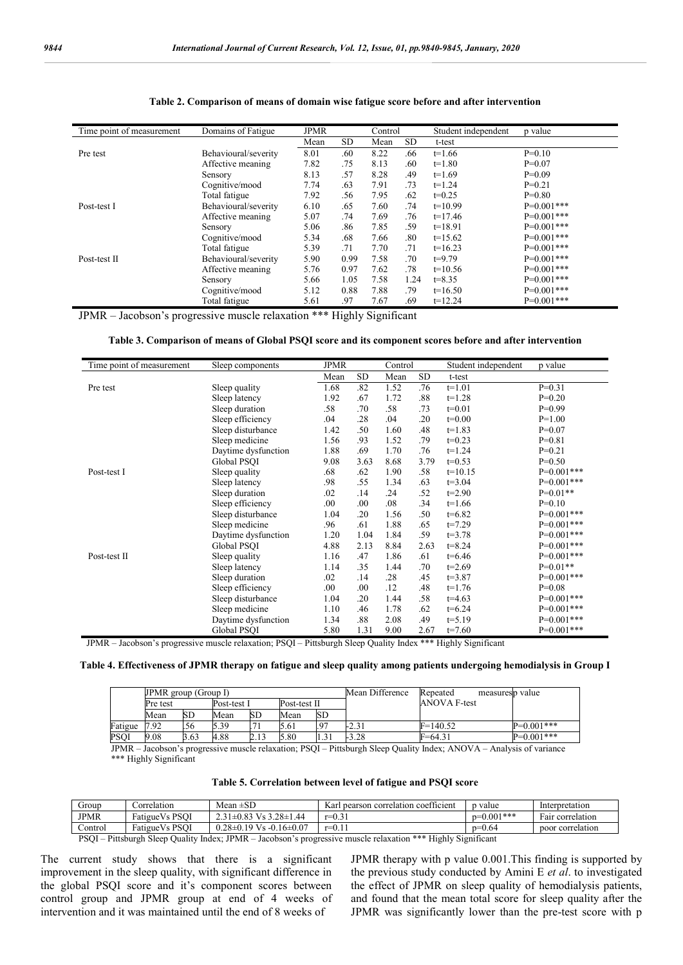| Time point of measurement | Domains of Fatigue   | <b>JPMR</b> |      | Control |           | Student independent | p value      |
|---------------------------|----------------------|-------------|------|---------|-----------|---------------------|--------------|
|                           |                      | Mean        | SD   | Mean    | <b>SD</b> | t-test              |              |
| Pre test                  | Behavioural/severity | 8.01        | .60  | 8.22    | .66       | $t=1.66$            | $P=0.10$     |
|                           | Affective meaning    | 7.82        | .75  | 8.13    | .60       | $t=1.80$            | $P=0.07$     |
|                           | Sensory              | 8.13        | .57  | 8.28    | .49       | $t=1.69$            | $P=0.09$     |
|                           | Cognitive/mood       | 7.74        | .63  | 7.91    | .73       | $t=1.24$            | $P=0.21$     |
|                           | Total fatigue        | 7.92        | .56  | 7.95    | .62       | $t=0.25$            | $P=0.80$     |
| Post-test I               | Behavioural/severity | 6.10        | .65  | 7.60    | .74       | $t=10.99$           | $P=0.001***$ |
|                           | Affective meaning    | 5.07        | .74  | 7.69    | .76       | $t=17.46$           | $P=0.001***$ |
|                           | Sensory              | 5.06        | .86  | 7.85    | .59       | $t=18.91$           | $P=0.001***$ |
|                           | Cognitive/mood       | 5.34        | .68  | 7.66    | .80       | $t=15.62$           | $P=0.001***$ |
|                           | Total fatigue        | 5.39        | .71  | 7.70    | .71       | $t=16.23$           | $P=0.001***$ |
| Post-test II              | Behavioural/severity | 5.90        | 0.99 | 7.58    | .70       | $t=9.79$            | $P=0.001***$ |
|                           | Affective meaning    | 5.76        | 0.97 | 7.62    | .78       | $t=10.56$           | $P=0.001***$ |
|                           | Sensory              | 5.66        | 1.05 | 7.58    | 1.24      | $t = 8.35$          | $P=0.001***$ |
|                           | Cognitive/mood       | 5.12        | 0.88 | 7.88    | .79       | $t=16.50$           | $P=0.001***$ |
|                           | Total fatigue        | 5.61        | .97  | 7.67    | .69       | $t=12.24$           | $P=0.001***$ |

#### **Table 2. Comparison of means of domain wise fatigue score before and after intervention**

JPMR – Jacobson's progressive muscle relaxation \*\*\* Highly Significant

#### **Table 3. Comparison of means of Global PSQI score and its component scores before and after intervention**

| Time point of measurement | Sleep components         | <b>JPMR</b> |           | Control |      | Student independent               | p value      |
|---------------------------|--------------------------|-------------|-----------|---------|------|-----------------------------------|--------------|
|                           |                          | Mean        | <b>SD</b> | Mean    | SD   | t-test                            |              |
| Pre test                  | Sleep quality            | 1.68        | .82       | 1.52    | .76  | $t=1.01$                          | $P = 0.31$   |
|                           | Sleep latency            | 1.92        | .67       | 1.72    | .88  | $t=1.28$                          | $P=0.20$     |
|                           | Sleep duration           | .58         | .70       | .58     | .73  | $t = 0.01$                        | $P=0.99$     |
|                           | Sleep efficiency         | .04         | .28       | .04     | .20  | $t = 0.00$                        | $P=1.00$     |
|                           | Sleep disturbance        | 1.42        | .50       | 1.60    | .48  | $t=1.83$                          | $P=0.07$     |
|                           | Sleep medicine           | 1.56        | .93       | 1.52    | .79  | $t = 0.23$                        | $P=0.81$     |
|                           | Daytime dysfunction      | 1.88        | .69       | 1.70    | .76  | $t=1.24$                          | $P = 0.21$   |
|                           | Global PSQI              | 9.08        | 3.63      | 8.68    | 3.79 | $t = 0.53$                        | $P=0.50$     |
| Post-test I               | Sleep quality            | .68         | .62       | 1.90    | .58  | $t=10.15$                         | $P=0.001***$ |
|                           | Sleep latency            | .98         | .55       | 1.34    | .63  | $t = 3.04$                        | $P=0.001***$ |
|                           | Sleep duration           | .02         | .14       | .24     | .52  | $t = 2.90$                        | $P=0.01**$   |
|                           | Sleep efficiency         | .00.        | .00.      | .08     | .34  | $t=1.66$                          | $P=0.10$     |
|                           | Sleep disturbance        | 1.04        | .20       | 1.56    | .50  | $t = 6.82$                        | $P=0.001***$ |
|                           | Sleep medicine           | .96         | .61       | 1.88    | .65  | $t = 7.29$                        | $P=0.001***$ |
|                           | Daytime dysfunction      | 1.20        | 1.04      | 1.84    | .59  | $t = 3.78$                        | $P=0.001***$ |
|                           | Global PSOI              | 4.88        | 2.13      | 8.84    | 2.63 | $t = 8.24$                        | $P=0.001***$ |
| Post-test II              | Sleep quality            | 1.16        | .47       | 1.86    | .61  | $t = 6.46$                        | $P=0.001***$ |
|                           | Sleep latency            | 1.14        | .35       | 1.44    | .70  | $t=2.69$                          | $P=0.01**$   |
|                           | Sleep duration           | .02         | .14       | .28     | .45  | $t = 3.87$                        | $P=0.001***$ |
|                           | Sleep efficiency         | .00.        | .00       | .12     | .48  | $t=1.76$                          | $P=0.08$     |
|                           | Sleep disturbance        | 1.04        | .20       | 1.44    | .58  | $t=4.63$                          | $P=0.001***$ |
|                           | Sleep medicine           | 1.10        | .46       | 1.78    | .62  | $t = 6.24$                        | $P=0.001***$ |
|                           | Daytime dysfunction      | 1.34        | .88       | 2.08    | .49  | $t = 5.19$                        | $P=0.001***$ |
|                           | Global PSQI<br>BOOT BULL | 5.80        | 1.31      | 9.00    | 2.67 | $t=7.60$<br>dealers and which the | $P=0.001***$ |

JPMR – Jacobson's progressive muscle relaxation; PSQI – Pittsburgh Sleep Quality Index \*\*\* Highly Significant

#### **Table 4. Effectiveness of JPMR therapy on fatigue and sleep quality among patients undergoing hemodialysis in Group I**

|             | JPMR group (Group $\Gamma$ ) |      |             |      |              |           | Mean Difference | Repeated            | measuresp value |              |
|-------------|------------------------------|------|-------------|------|--------------|-----------|-----------------|---------------------|-----------------|--------------|
|             | Pre test                     |      | Post-test I |      | Post-test II |           |                 | <b>ANOVA F-test</b> |                 |              |
|             | Mean                         | SD   | Mean        | SD   | Mean         | <b>SD</b> |                 |                     |                 |              |
| Fatigue     | 7.92                         | .56  | 5.39        |      | 5.61         | .97       | $-2.31$         | $F=140.52$          |                 | $P=0.001***$ |
| <b>PSQI</b> | 9.08                         | 3.63 | 4.88        | 2.13 | 5.80         | 1.31      | $-3.28$         | $F = 64.31$         |                 | $P=0.001***$ |

JPMR – Jacobson's progressive muscle relaxation; PSQI – Pittsburgh Sleep Quality Index; ANOVA – Analysis of variance \*\*\* Highly Significant

|  | Table 5. Correlation between level of fatigue and PSQI score |  |  |  |
|--|--------------------------------------------------------------|--|--|--|
|  |                                                              |  |  |  |

| Group       | . orrelation    | Mean $\pm$ SD                       | $-$<br>pearson correlation coefficient<br>Karl | value v      | Interpretation   |
|-------------|-----------------|-------------------------------------|------------------------------------------------|--------------|------------------|
| <b>JPMR</b> | Fatigue Vs PSOI | $2.31\pm0.83$ Vs $3.28\pm1.44$      | $r=0.31$                                       | $p=0.001***$ | Fair correlation |
| .`ontrol    | Fatigue Vs PSOI | $0.28 \pm 0.19$ Vs -0.16 $\pm 0.07$ | $r=0.11$                                       | $p=0.64$     | poor correlation |

PSQI – Pittsburgh Sleep Quality Index; JPMR – Jacobson's progressive muscle relaxation \*\*\* Highly Significant

The current study shows that there is a significant improvement in the sleep quality, with significant difference in the global PSQI score and it's component scores between control group and JPMR group at end of 4 weeks of intervention and it was maintained until the end of 8 weeks of

JPMR therapy with p value 0.001.This finding is supported by the previous study conducted by Amini E *et al*. to investigated the effect of JPMR on sleep quality of hemodialysis patients, and found that the mean total score for sleep quality after the JPMR was significantly lower than the pre-test score with p